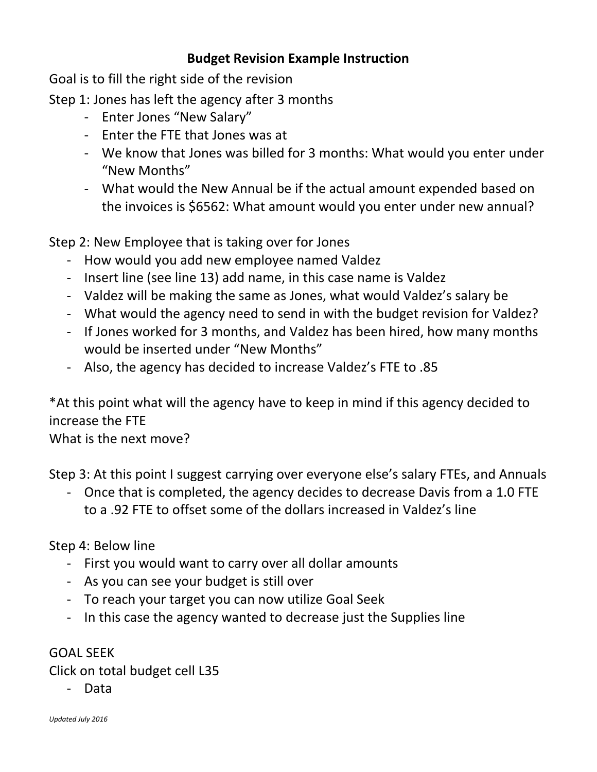## **Budget Revision Example Instruction**

Goal is to fill the right side of the revision

Step 1: Jones has left the agency after 3 months

- Enter Jones "New Salary"
- Enter the FTE that Jones was at
- We know that Jones was billed for 3 months: What would you enter under "New Months"
- What would the New Annual be if the actual amount expended based on the invoices is \$6562: What amount would you enter under new annual?

Step 2: New Employee that is taking over for Jones

- How would you add new employee named Valdez
- Insert line (see line 13) add name, in this case name is Valdez
- Valdez will be making the same as Jones, what would Valdez's salary be
- What would the agency need to send in with the budget revision for Valdez?
- If Jones worked for 3 months, and Valdez has been hired, how many months would be inserted under "New Months"
- Also, the agency has decided to increase Valdez's FTE to .85

\*At this point what will the agency have to keep in mind if this agency decided to increase the FTE

What is the next move?

Step 3: At this point I suggest carrying over everyone else's salary FTEs, and Annuals

- Once that is completed, the agency decides to decrease Davis from a 1.0 FTE to a .92 FTE to offset some of the dollars increased in Valdez's line

Step 4: Below line

- First you would want to carry over all dollar amounts
- As you can see your budget is still over
- To reach your target you can now utilize Goal Seek
- In this case the agency wanted to decrease just the Supplies line

GOAL SEEK

Click on total budget cell L35

- Data